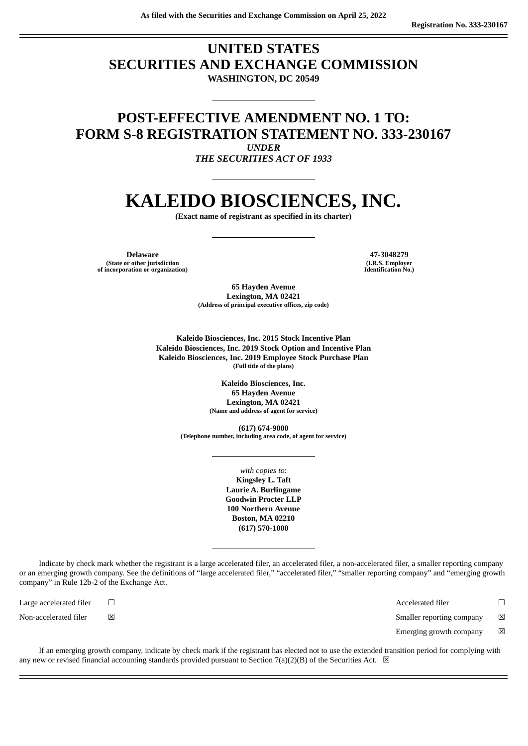### **UNITED STATES SECURITIES AND EXCHANGE COMMISSION WASHINGTON, DC 20549**

## **POST-EFFECTIVE AMENDMENT NO. 1 TO: FORM S-8 REGISTRATION STATEMENT NO. 333-230167**

*UNDER THE SECURITIES ACT OF 1933*

# **KALEIDO BIOSCIENCES, INC.**

**(Exact name of registrant as specified in its charter)**

**Delaware 47-3048279 (State or other jurisdiction of incorporation or organization)**

**(I.R.S. Employer Identification No.)**

**65 Hayden Avenue Lexington, MA 02421 (Address of principal executive offices, zip code)**

**Kaleido Biosciences, Inc. 2015 Stock Incentive Plan Kaleido Biosciences, Inc. 2019 Stock Option and Incentive Plan Kaleido Biosciences, Inc. 2019 Employee Stock Purchase Plan (Full title of the plans)**

> **Kaleido Biosciences, Inc. 65 Hayden Avenue Lexington, MA 02421 (Name and address of agent for service)**

**(617) 674-9000 (Telephone number, including area code, of agent for service)**

> *with copies to*: **Kingsley L. Taft Laurie A. Burlingame Goodwin Procter LLP 100 Northern Avenue Boston, MA 02210 (617) 570-1000**

Indicate by check mark whether the registrant is a large accelerated filer, an accelerated filer, a non-accelerated filer, a smaller reporting company or an emerging growth company. See the definitions of "large accelerated filer," "accelerated filer," "smaller reporting company" and "emerging growth company" in Rule 12b-2 of the Exchange Act.

Large accelerated filer ☐ Accelerated filer ☐ Non-accelerated filer ☒ Smaller reporting company ☒

Emerging growth company  $\boxtimes$ 

If an emerging growth company, indicate by check mark if the registrant has elected not to use the extended transition period for complying with any new or revised financial accounting standards provided pursuant to Section 7(a)(2)(B) of the Securities Act.  $\boxtimes$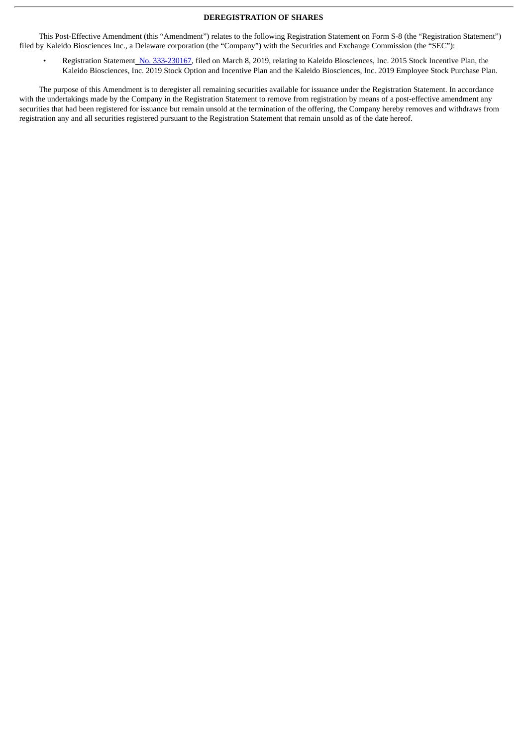#### **DEREGISTRATION OF SHARES**

This Post-Effective Amendment (this "Amendment") relates to the following Registration Statement on Form S-8 (the "Registration Statement") filed by Kaleido Biosciences Inc., a Delaware corporation (the "Company") with the Securities and Exchange Commission (the "SEC"):

Registration Statement No. [333-230167](http://www.sec.gov/Archives/edgar/data/1751299/000119312519069228/d718091ds8.htm), filed on March 8, 2019, relating to Kaleido Biosciences, Inc. 2015 Stock Incentive Plan, the Kaleido Biosciences, Inc. 2019 Stock Option and Incentive Plan and the Kaleido Biosciences, Inc. 2019 Employee Stock Purchase Plan.

The purpose of this Amendment is to deregister all remaining securities available for issuance under the Registration Statement. In accordance with the undertakings made by the Company in the Registration Statement to remove from registration by means of a post-effective amendment any securities that had been registered for issuance but remain unsold at the termination of the offering, the Company hereby removes and withdraws from registration any and all securities registered pursuant to the Registration Statement that remain unsold as of the date hereof.